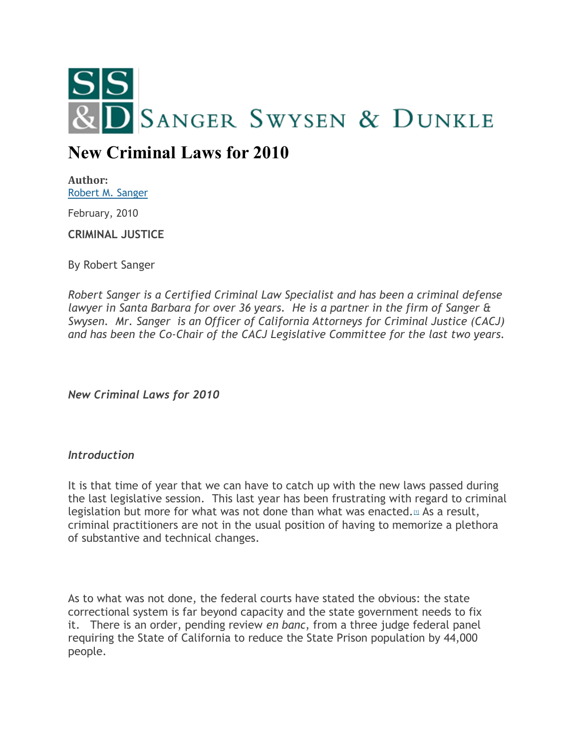

# **New Criminal Laws for 2010**

**Author:** [Robert M. Sanger](http://sangerswysen.com/robert-m-sanger)

February, 2010

**CRIMINAL JUSTICE**

By Robert Sanger

*Robert Sanger is a Certified Criminal Law Specialist and has been a criminal defense lawyer in Santa Barbara for over 36 years. He is a partner in the firm of Sanger & Swysen. Mr. Sanger is an Officer of California Attorneys for Criminal Justice (CACJ) and has been the Co-Chair of the CACJ Legislative Committee for the last two years.*

*New Criminal Laws for 2010*

# *Introduction*

It is that time of year that we can have to catch up with the new laws passed during the last legislative session. This last year has been frustrating with regard to criminal legislation but more for what was not done than what was enacted. $\mu$  As a result, criminal practitioners are not in the usual position of having to memorize a plethora of substantive and technical changes.

As to what was not done, the federal courts have stated the obvious: the state correctional system is far beyond capacity and the state government needs to fix it. There is an order, pending review *en banc*, from a three judge federal panel requiring the State of California to reduce the State Prison population by 44,000 people.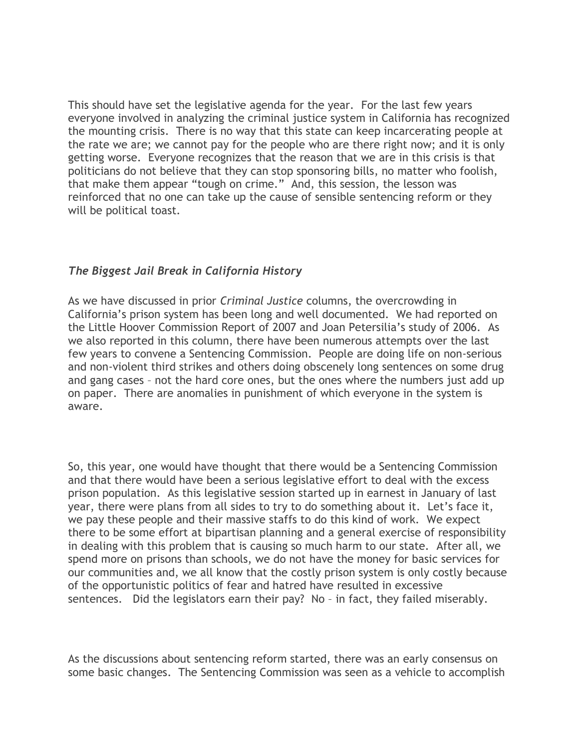This should have set the legislative agenda for the year. For the last few years everyone involved in analyzing the criminal justice system in California has recognized the mounting crisis. There is no way that this state can keep incarcerating people at the rate we are; we cannot pay for the people who are there right now; and it is only getting worse. Everyone recognizes that the reason that we are in this crisis is that politicians do not believe that they can stop sponsoring bills, no matter who foolish, that make them appear "tough on crime." And, this session, the lesson was reinforced that no one can take up the cause of sensible sentencing reform or they will be political toast.

# *The Biggest Jail Break in California History*

As we have discussed in prior *Criminal Justice* columns, the overcrowding in California's prison system has been long and well documented. We had reported on the Little Hoover Commission Report of 2007 and Joan Petersilia's study of 2006. As we also reported in this column, there have been numerous attempts over the last few years to convene a Sentencing Commission. People are doing life on non-serious and non-violent third strikes and others doing obscenely long sentences on some drug and gang cases – not the hard core ones, but the ones where the numbers just add up on paper. There are anomalies in punishment of which everyone in the system is aware.

So, this year, one would have thought that there would be a Sentencing Commission and that there would have been a serious legislative effort to deal with the excess prison population. As this legislative session started up in earnest in January of last year, there were plans from all sides to try to do something about it. Let's face it, we pay these people and their massive staffs to do this kind of work. We expect there to be some effort at bipartisan planning and a general exercise of responsibility in dealing with this problem that is causing so much harm to our state. After all, we spend more on prisons than schools, we do not have the money for basic services for our communities and, we all know that the costly prison system is only costly because of the opportunistic politics of fear and hatred have resulted in excessive sentences. Did the legislators earn their pay? No – in fact, they failed miserably.

As the discussions about sentencing reform started, there was an early consensus on some basic changes. The Sentencing Commission was seen as a vehicle to accomplish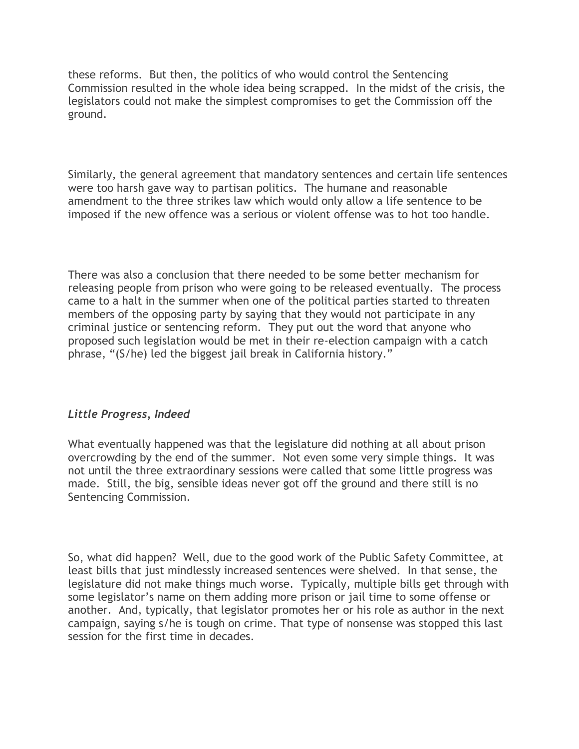these reforms. But then, the politics of who would control the Sentencing Commission resulted in the whole idea being scrapped. In the midst of the crisis, the legislators could not make the simplest compromises to get the Commission off the ground.

Similarly, the general agreement that mandatory sentences and certain life sentences were too harsh gave way to partisan politics. The humane and reasonable amendment to the three strikes law which would only allow a life sentence to be imposed if the new offence was a serious or violent offense was to hot too handle.

There was also a conclusion that there needed to be some better mechanism for releasing people from prison who were going to be released eventually. The process came to a halt in the summer when one of the political parties started to threaten members of the opposing party by saying that they would not participate in any criminal justice or sentencing reform. They put out the word that anyone who proposed such legislation would be met in their re-election campaign with a catch phrase, "(S/he) led the biggest jail break in California history."

# *Little Progress, Indeed*

What eventually happened was that the legislature did nothing at all about prison overcrowding by the end of the summer. Not even some very simple things. It was not until the three extraordinary sessions were called that some little progress was made. Still, the big, sensible ideas never got off the ground and there still is no Sentencing Commission.

So, what did happen? Well, due to the good work of the Public Safety Committee, at least bills that just mindlessly increased sentences were shelved. In that sense, the legislature did not make things much worse. Typically, multiple bills get through with some legislator's name on them adding more prison or jail time to some offense or another. And, typically, that legislator promotes her or his role as author in the next campaign, saying s/he is tough on crime. That type of nonsense was stopped this last session for the first time in decades.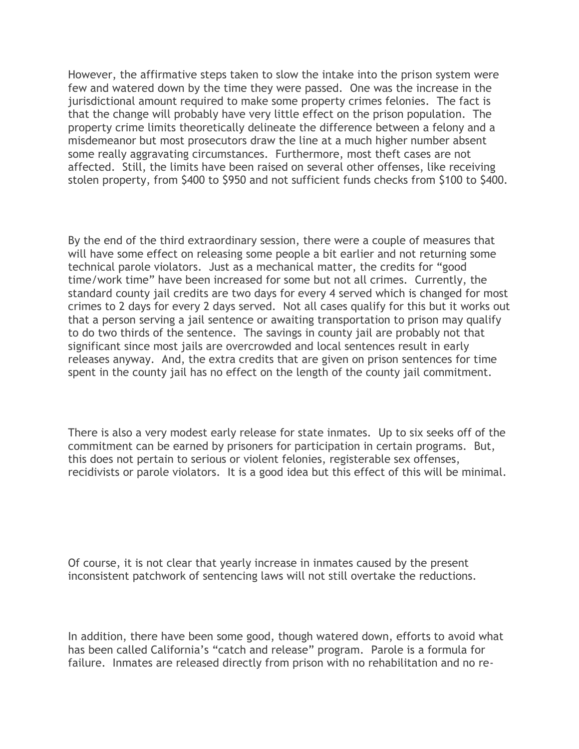However, the affirmative steps taken to slow the intake into the prison system were few and watered down by the time they were passed. One was the increase in the jurisdictional amount required to make some property crimes felonies. The fact is that the change will probably have very little effect on the prison population. The property crime limits theoretically delineate the difference between a felony and a misdemeanor but most prosecutors draw the line at a much higher number absent some really aggravating circumstances. Furthermore, most theft cases are not affected. Still, the limits have been raised on several other offenses, like receiving stolen property, from \$400 to \$950 and not sufficient funds checks from \$100 to \$400.

By the end of the third extraordinary session, there were a couple of measures that will have some effect on releasing some people a bit earlier and not returning some technical parole violators. Just as a mechanical matter, the credits for "good time/work time" have been increased for some but not all crimes. Currently, the standard county jail credits are two days for every 4 served which is changed for most crimes to 2 days for every 2 days served. Not all cases qualify for this but it works out that a person serving a jail sentence or awaiting transportation to prison may qualify to do two thirds of the sentence. The savings in county jail are probably not that significant since most jails are overcrowded and local sentences result in early releases anyway. And, the extra credits that are given on prison sentences for time spent in the county jail has no effect on the length of the county jail commitment.

There is also a very modest early release for state inmates. Up to six seeks off of the commitment can be earned by prisoners for participation in certain programs. But, this does not pertain to serious or violent felonies, registerable sex offenses, recidivists or parole violators. It is a good idea but this effect of this will be minimal.

Of course, it is not clear that yearly increase in inmates caused by the present inconsistent patchwork of sentencing laws will not still overtake the reductions.

In addition, there have been some good, though watered down, efforts to avoid what has been called California's "catch and release" program. Parole is a formula for failure. Inmates are released directly from prison with no rehabilitation and no re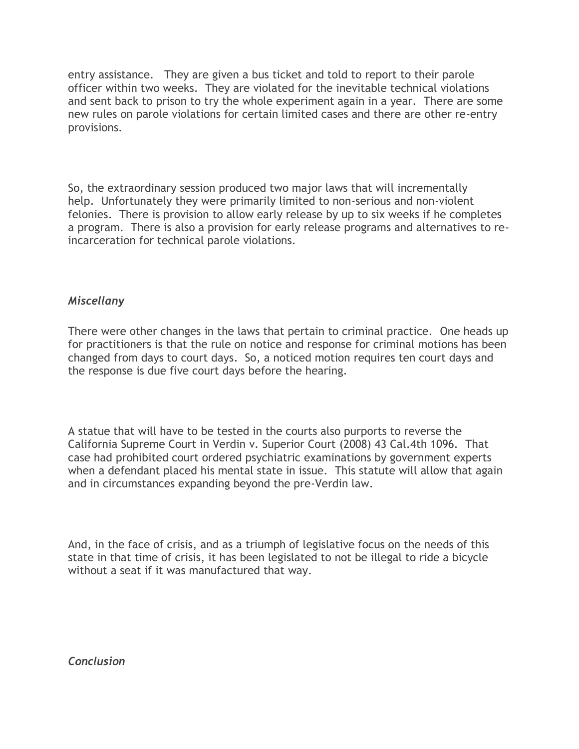entry assistance. They are given a bus ticket and told to report to their parole officer within two weeks. They are violated for the inevitable technical violations and sent back to prison to try the whole experiment again in a year. There are some new rules on parole violations for certain limited cases and there are other re-entry provisions.

So, the extraordinary session produced two major laws that will incrementally help. Unfortunately they were primarily limited to non-serious and non-violent felonies. There is provision to allow early release by up to six weeks if he completes a program. There is also a provision for early release programs and alternatives to reincarceration for technical parole violations.

# *Miscellany*

There were other changes in the laws that pertain to criminal practice. One heads up for practitioners is that the rule on notice and response for criminal motions has been changed from days to court days. So, a noticed motion requires ten court days and the response is due five court days before the hearing.

A statue that will have to be tested in the courts also purports to reverse the California Supreme Court in Verdin v. Superior Court (2008) 43 Cal.4th 1096. That case had prohibited court ordered psychiatric examinations by government experts when a defendant placed his mental state in issue. This statute will allow that again and in circumstances expanding beyond the pre-Verdin law.

And, in the face of crisis, and as a triumph of legislative focus on the needs of this state in that time of crisis, it has been legislated to not be illegal to ride a bicycle without a seat if it was manufactured that way.

*Conclusion*